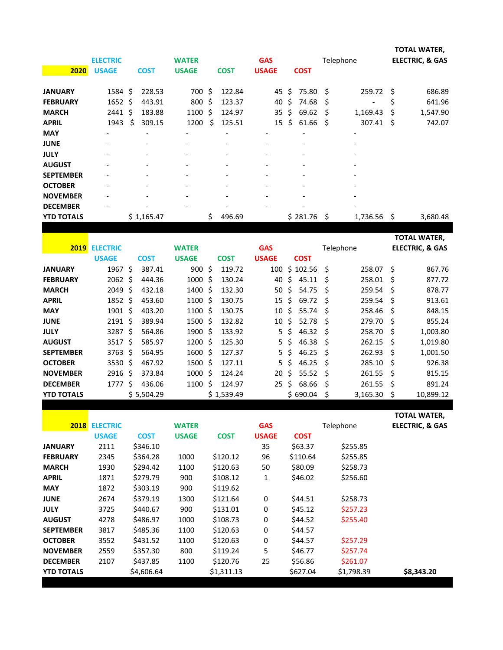|                   | <b>ELECTRIC</b> |     |                          | <b>WATER</b>             |    |                          | <b>GAS</b>               |    |                          |    | Telephone                |     | TOTAL WATER,<br><b>ELECTRIC, &amp; GAS</b> |
|-------------------|-----------------|-----|--------------------------|--------------------------|----|--------------------------|--------------------------|----|--------------------------|----|--------------------------|-----|--------------------------------------------|
| 2020              | <b>USAGE</b>    |     | <b>COST</b>              | <b>USAGE</b>             |    | <b>COST</b>              | <b>USAGE</b>             |    | <b>COST</b>              |    |                          |     |                                            |
| <b>JANUARY</b>    | $1584 \;$ \$    |     | 228.53                   | 700 \$                   |    | 122.84                   | 45                       | \$ | 75.80 \$                 |    | 259.72                   | Ŝ.  | 686.89                                     |
| <b>FEBRUARY</b>   | $1652 \;$ \$    |     | 443.91                   | 800 \$                   |    | 123.37                   | 40                       | S. | 74.68                    | S  | $\overline{\phantom{a}}$ | \$  | 641.96                                     |
| <b>MARCH</b>      | 2441            | -\$ | 183.88                   | 1100                     | Ŝ. | 124.97                   | 35                       | Ŝ. | 69.62                    | Ŝ  | 1,169.43                 | Ś   | 1,547.90                                   |
| <b>APRIL</b>      | 1943            | Ś.  | 309.15                   | 1200                     | \$ | 125.51                   | 15                       | Ŝ. | 61.66                    | \$ | 307.41                   | \$  | 742.07                                     |
| <b>MAY</b>        |                 |     | $\overline{\phantom{0}}$ |                          |    |                          |                          |    | $\overline{\phantom{0}}$ |    | $\overline{\phantom{a}}$ |     |                                            |
| <b>JUNE</b>       |                 |     | $\overline{\phantom{0}}$ |                          |    |                          |                          |    |                          |    |                          |     |                                            |
| <b>JULY</b>       |                 |     | $\overline{\phantom{0}}$ |                          |    |                          | $\overline{\phantom{0}}$ |    |                          |    | $\overline{a}$           |     |                                            |
| <b>AUGUST</b>     |                 |     | $\overline{\phantom{a}}$ | $\overline{a}$           |    | $\overline{\phantom{0}}$ | $\overline{\phantom{0}}$ |    | $\overline{\phantom{0}}$ |    | $\overline{\phantom{a}}$ |     |                                            |
| <b>SEPTEMBER</b>  |                 |     | $\overline{\phantom{a}}$ | $\overline{\phantom{a}}$ |    | $\overline{\phantom{0}}$ | $\overline{\phantom{0}}$ |    | $\overline{\phantom{0}}$ |    | $\overline{\phantom{a}}$ |     |                                            |
| <b>OCTOBER</b>    |                 |     | $\overline{\phantom{a}}$ |                          |    |                          | $\overline{\phantom{0}}$ |    |                          |    | $\overline{\phantom{a}}$ |     |                                            |
| <b>NOVEMBER</b>   |                 |     | $\overline{\phantom{0}}$ |                          |    |                          | -                        |    |                          |    |                          |     |                                            |
| <b>DECEMBER</b>   |                 |     |                          |                          |    |                          |                          |    |                          |    | $\overline{\phantom{a}}$ |     |                                            |
| <b>YTD TOTALS</b> |                 |     | \$1,165.47               |                          | \$ | 496.69                   |                          |    | \$281.76                 | \$ | 1,736.56                 | -\$ | 3,680.48                                   |

|                   |                 |     |             |                 |      |             |              |    |             |    |           |    | TOTAL WATER,               |
|-------------------|-----------------|-----|-------------|-----------------|------|-------------|--------------|----|-------------|----|-----------|----|----------------------------|
| 2019              | <b>ELECTRIC</b> |     |             | <b>WATER</b>    |      |             | <b>GAS</b>   |    |             |    | Telephone |    | <b>ELECTRIC, &amp; GAS</b> |
|                   | <b>USAGE</b>    |     | <b>COST</b> | <b>USAGE</b>    |      | <b>COST</b> | <b>USAGE</b> |    | <b>COST</b> |    |           |    |                            |
| <b>JANUARY</b>    | 1967            | Ŝ.  | 387.41      | 900             | - \$ | 119.72      | 100          |    | \$102.56    | Š. | 258.07    | Ŝ. | 867.76                     |
| <b>FEBRUARY</b>   | 2062            | Ŝ.  | 444.36      | $1000 \;$ \$    |      | 130.24      | 40           | Ś. | 45.11       | S  | 258.01    | S  | 877.72                     |
| <b>MARCH</b>      | 2049            | Ŝ.  | 432.18      | $1400 \text{ }$ |      | 132.30      | 50           | Ŝ. | 54.75       | Ś  | 259.54    | Ŝ. | 878.77                     |
| <b>APRIL</b>      | 1852            | \$. | 453.60      | $1100 \;$ \$    |      | 130.75      | 15           | Ś  | 69.72       | Ś  | 259.54    | Ŝ  | 913.61                     |
| <b>MAY</b>        | 1901            | Ŝ.  | 403.20      | 1100S           |      | 130.75      | 10           | Ś. | 55.74       | Ś  | 258.46    | Ŝ. | 848.15                     |
| <b>JUNE</b>       | $2191 \text{ }$ |     | 389.94      | $1500 \text{ }$ |      | 132.82      | 10           | Ŝ. | 52.78       | S  | 279.70    | .S | 855.24                     |
| <b>JULY</b>       | 3287            | Ŝ.  | 564.86      | 1900            | Ŝ.   | 133.92      | 5            | Ś. | 46.32       | Ś  | 258.70    | Ŝ. | 1,003.80                   |
| <b>AUGUST</b>     | 3517            | Ŝ.  | 585.97      | $1200$ \$       |      | 125.30      | 5            | Ŝ. | 46.38       | Ś  | 262.15    | Ŝ  | 1,019.80                   |
| <b>SEPTEMBER</b>  | 3763            | \$  | 564.95      | $1600 \;$ \$    |      | 127.37      | 5            | Ŝ. | 46.25       | Ŝ  | 262.93    | .S | 1,001.50                   |
| <b>OCTOBER</b>    | 3530            | Ŝ.  | 467.92      | $1500$ \$       |      | 127.11      | 5.           | Š. | 46.25       | Ś  | 285.10    | Ŝ  | 926.38                     |
| <b>NOVEMBER</b>   | 2916            | Ś   | 373.84      | $1000 \;$ \$    |      | 124.24      | 20           | Ś  | 55.52       | Ś  | 261.55    | -Ś | 815.15                     |
| <b>DECEMBER</b>   | 1777            | \$  | 436.06      | 1100            | \$   | 124.97      | 25           | Ś. | 68.66       | Ŝ  | 261.55    | Ŝ. | 891.24                     |
| <b>YTD TOTALS</b> |                 |     | \$5,504.29  |                 |      | \$1,539.49  |              |    | \$690.04    | \$ | 3,165.30  | S  | 10,899.12                  |

|                   |                 |             |              |             |              |             |            | TOTAL WATER,               |
|-------------------|-----------------|-------------|--------------|-------------|--------------|-------------|------------|----------------------------|
| 2018              | <b>ELECTRIC</b> |             | <b>WATER</b> |             | <b>GAS</b>   |             | Telephone  | <b>ELECTRIC, &amp; GAS</b> |
|                   | <b>USAGE</b>    | <b>COST</b> | <b>USAGE</b> | <b>COST</b> | <b>USAGE</b> | <b>COST</b> |            |                            |
| <b>JANUARY</b>    | 2111            | \$346.10    |              |             | 35           | \$63.37     | \$255.85   |                            |
| <b>FEBRUARY</b>   | 2345            | \$364.28    | 1000         | \$120.12    | 96           | \$110.64    | \$255.85   |                            |
| <b>MARCH</b>      | 1930            | \$294.42    | 1100         | \$120.63    | 50           | \$80.09     | \$258.73   |                            |
| <b>APRIL</b>      | 1871            | \$279.79    | 900          | \$108.12    | 1            | \$46.02     | \$256.60   |                            |
| <b>MAY</b>        | 1872            | \$303.19    | 900          | \$119.62    |              |             |            |                            |
| <b>JUNE</b>       | 2674            | \$379.19    | 1300         | \$121.64    | 0            | \$44.51     | \$258.73   |                            |
| <b>JULY</b>       | 3725            | \$440.67    | 900          | \$131.01    | 0            | \$45.12     | \$257.23   |                            |
| <b>AUGUST</b>     | 4278            | \$486.97    | 1000         | \$108.73    | 0            | \$44.52     | \$255.40   |                            |
| <b>SEPTEMBER</b>  | 3817            | \$485.36    | 1100         | \$120.63    | 0            | \$44.57     |            |                            |
| <b>OCTOBER</b>    | 3552            | \$431.52    | 1100         | \$120.63    | 0            | \$44.57     | \$257.29   |                            |
| <b>NOVEMBER</b>   | 2559            | \$357.30    | 800          | \$119.24    | 5            | \$46.77     | \$257.74   |                            |
| <b>DECEMBER</b>   | 2107            | \$437.85    | 1100         | \$120.76    | 25           | \$56.86     | \$261.07   |                            |
| <b>YTD TOTALS</b> |                 | \$4,606.64  |              | \$1,311.13  |              | \$627.04    | \$1,798.39 | \$8,343.20                 |